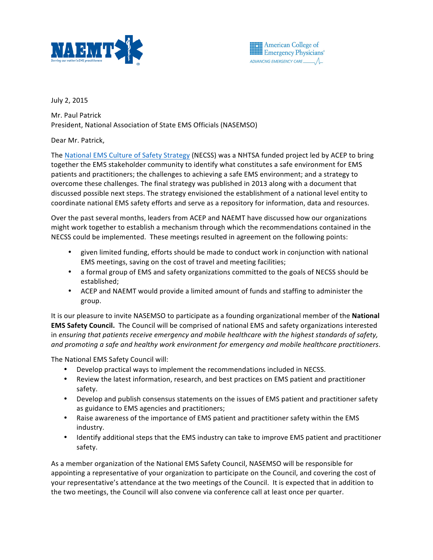



July 2, 2015

Mr. Paul Patrick President, National Association of State EMS Officials (NASEMSO)

Dear Mr. Patrick,

The National EMS Culture of Safety Strategy (NECSS) was a NHTSA funded project led by ACEP to bring together the EMS stakeholder community to identify what constitutes a safe environment for EMS patients and practitioners; the challenges to achieving a safe EMS environment; and a strategy to overcome these challenges. The final strategy was published in 2013 along with a document that discussed possible next steps. The strategy envisioned the establishment of a national level entity to coordinate national EMS safety efforts and serve as a repository for information, data and resources.

Over the past several months, leaders from ACEP and NAEMT have discussed how our organizations might work together to establish a mechanism through which the recommendations contained in the NECSS could be implemented. These meetings resulted in agreement on the following points:

- given limited funding, efforts should be made to conduct work in conjunction with national EMS meetings, saving on the cost of travel and meeting facilities;
- a formal group of EMS and safety organizations committed to the goals of NECSS should be established;
- ACEP and NAEMT would provide a limited amount of funds and staffing to administer the group.

It is our pleasure to invite NASEMSO to participate as a founding organizational member of the National **EMS Safety Council.** The Council will be comprised of national EMS and safety organizations interested in ensuring that patients receive emergency and mobile healthcare with the highest standards of safety, and promoting a safe and healthy work environment for emergency and mobile healthcare practitioners.

The National EMS Safety Council will:

- Develop practical ways to implement the recommendations included in NECSS.
- Review the latest information, research, and best practices on EMS patient and practitioner safety.
- Develop and publish consensus statements on the issues of EMS patient and practitioner safety as guidance to EMS agencies and practitioners;
- Raise awareness of the importance of EMS patient and practitioner safety within the EMS industry.
- Identify additional steps that the EMS industry can take to improve EMS patient and practitioner safety.

As a member organization of the National EMS Safety Council, NASEMSO will be responsible for appointing a representative of your organization to participate on the Council, and covering the cost of your representative's attendance at the two meetings of the Council. It is expected that in addition to the two meetings, the Council will also convene via conference call at least once per quarter.